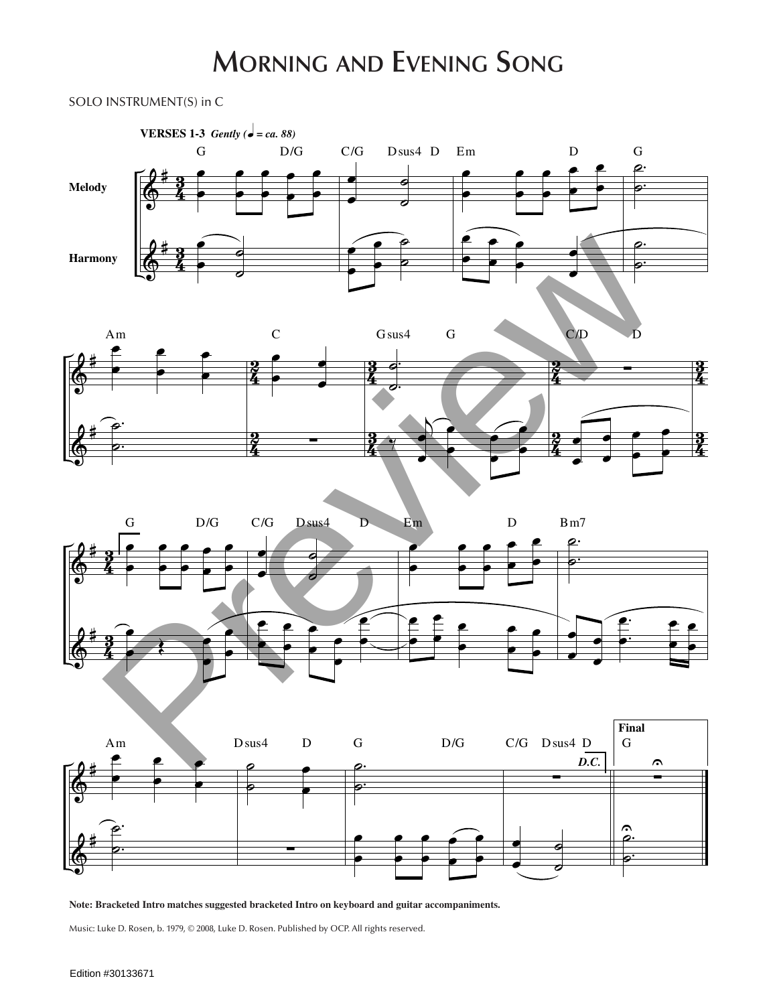## **MORNING AND EVENING SONG**

## SOLO INSTRUMENT(S) in C  $ENI(S)$  i G D/G









: Bracketed Intro matches suggested bracketed . oard and guitar a œ .<br>np œ ne uc

& œ œ Music: Luke D. Rosen, b. 1979, © 2008, Luke D. Rosen. Published by OCP. All rights reserved.